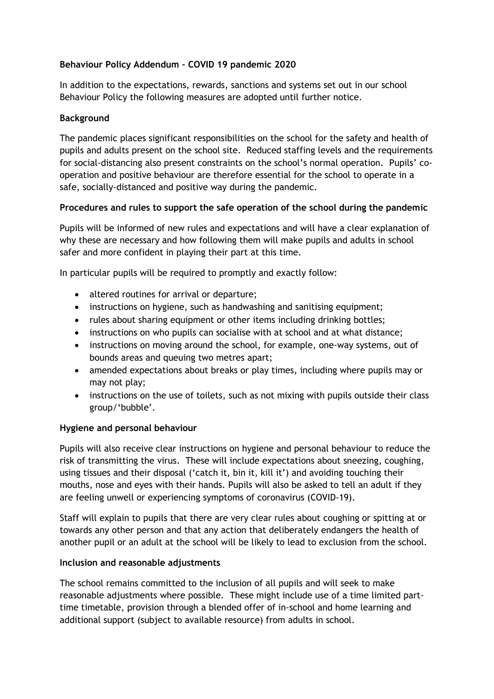# **Behaviour Policy Addendum – COVID 19 pandemic 2020**

In addition to the expectations, rewards, sanctions and systems set out in our school Behaviour Policy the following measures are adopted until further notice.

#### **Background**

The pandemic places significant responsibilities on the school for the safety and health of pupils and adults present on the school site. Reduced staffing levels and the requirements for social-distancing also present constraints on the school's normal operation. Pupils' cooperation and positive behaviour are therefore essential for the school to operate in a safe, socially-distanced and positive way during the pandemic.

# **Procedures and rules to support the safe operation of the school during the pandemic**

Pupils will be informed of new rules and expectations and will have a clear explanation of why these are necessary and how following them will make pupils and adults in school safer and more confident in playing their part at this time.

In particular pupils will be required to promptly and exactly follow:

- altered routines for arrival or departure;
- instructions on hygiene, such as handwashing and sanitising equipment;
- rules about sharing equipment or other items including drinking bottles;
- instructions on who pupils can socialise with at school and at what distance;
- instructions on moving around the school, for example, one-way systems, out of bounds areas and queuing two metres apart;
- amended expectations about breaks or play times, including where pupils may or may not play;
- instructions on the use of toilets, such as not mixing with pupils outside their class group/'bubble'.

# **Hygiene and personal behaviour**

Pupils will also receive clear instructions on hygiene and personal behaviour to reduce the risk of transmitting the virus. These will include expectations about sneezing, coughing, using tissues and their disposal ('catch it, bin it, kill it') and avoiding touching their mouths, nose and eyes with their hands. Pupils will also be asked to tell an adult if they are feeling unwell or experiencing symptoms of coronavirus (COVID-19).

Staff will explain to pupils that there are very clear rules about coughing or spitting at or towards any other person and that any action that deliberately endangers the health of another pupil or an adult at the school will be likely to lead to exclusion from the school.

# **Inclusion and reasonable adjustments**

The school remains committed to the inclusion of all pupils and will seek to make reasonable adjustments where possible. These might include use of a time limited parttime timetable, provision through a blended offer of in-school and home learning and additional support (subject to available resource) from adults in school.